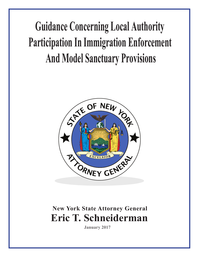# **Guidance Concerning Local Authority Participation In Immigration Enforcement And Model Sanctuary Provisions**



# **Eric T. Schneiderman New York State Attorney General**

**January 2017**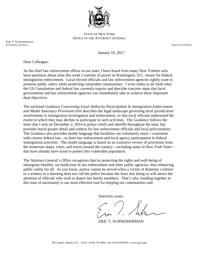

STATE OF NEW YORK OFFICE OF THE ATTORNEY GENERAL

ERIC T. SCHNEIDERMAN<br>ATTORNEY GENERAL ATTORNEY GENERAL EXECUTIVE OFFICE AND A SERIES OF THE SERIES OF THE SERIES OF THE SERIES OF THE SERIES OF THE SERIES OF THE SERIES OF THE SERIES OF THE SERIES OF THE SERIES OF THE SERIES OF THE SERIES OF THE SERIES OF THE

January 19, 2017

Dear Colleague:

As the chief law enforcement officer in our state, I have heard from many New Yorkers who have questions about what this week's transfer of power in Washington, D.C. means for federal immigration enforcement. Local elected officials and law enforcement agencies rightly want to promote public safety while protecting vulnerable communities. I write today to set forth what the US Constitution and federal law currently require and describe concrete steps that local governments and law enforcement agencies can immediately take to achieve these important dual objectives.

The enclosed *Guidance Concerning Local Authority Participation In Immigration Enforcement and Model Sanctuary Provisions* first describes the legal landscape governing local jurisdictions' involvement in immigration investigation and enforcement, so that local officials understand the extent to which they may decline to participate in such activities. The *Guidance* follows the letter that I sent on December 2, 2014 to police chiefs and sheriffs throughout the state, but provides much greater detail and context for law enforcement officials and local policymakers. The *Guidance* also provides model language that localities can voluntarily enact—consistent with current federal law—to limit law enforcement and local agency participation in federal immigration activities. The model language is based on an extensive review of provisions from the numerous states, cities, and towns around the country—including many in New York State that have already have acted to protect this vulnerable population.

The Attorney General's Office recognizes that by protecting the rights and well-being of immigrant families, we build trust in law enforcement and other public agencies, thus enhancing public safety for all. As you know, justice cannot be served when a victim of domestic violence or a witness to a shooting does not call the police because she fears that doing so will attract the attention of officials who wish to deport her family members. That's why standing together in this time of uncertainty is our most effective tool for keeping our communities safe.

Sincerely yours,

ERIC T. SCHNEIDERMAN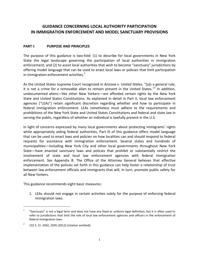# **GUIDANCE CONCERNING LOCAL AUTHORITY PARTICIPATION IN IMMIGRATION ENFORCEMENT AND MODEL SANCTUARY PROVISIONS**

#### **PART I: PURPOSE AND PRINCIPLES**

The purpose of this guidance is two-fold: (1) to describe for local governments in New York State the legal landscape governing the participation of local authorities in immigration enforcement; and (2) to assist local authorities that wish to become "sanctuary" jurisdictions by offering model language that can be used to enact local laws or policies that limit participation in immigration enforcement activities. $1$ 

As the United States Supreme Court recognized in *Arizona v. United States*, "[a]s a general rule, it is not a crime for a removable alien to remain present in the United States."<sup>2</sup> In addition, undocumented aliens—like other New Yorkers—are afforded certain rights by the New York State and United States Constitutions. As explained in detail in Part II, local law enforcement agencies ("LEAs") retain significant discretion regarding whether and how to participate in federal immigration enforcement. LEAs nonetheless must adhere to the requirements and prohibitions of the New York State and United States Constitutions and federal and state law in serving the public, regardless of whether an individual is lawfully present in the U.S.

In light of concerns expressed by many local governments about protecting immigrants' rights while appropriately aiding federal authorities, Part III of this guidance offers model language that can be used to enact laws and policies on how localities can and should respond to federal requests for assistance with immigration enforcement. Several states and hundreds of municipalities—including New York City and other local governments throughout New York State—have enacted sanctuary laws and policies that prohibit or substantially restrict the involvement of state and local law enforcement agencies with federal immigration enforcement. *See* Appendix B. The Office of the Attorney General believes that effective implementation of the policies set forth in this guidance can help foster a relationship of trust between law enforcement officials and immigrants that will, in turn, promote public safety for all New Yorkers.

This guidance recommends eight basic measures:

1. LEAs should not engage in certain activities solely for the purpose of enforcing federal immigration laws.

<sup>1</sup> "Sanctuary" is not a legal term and does not have any fixed or uniform legal definition, but it is often used to refer to jurisdictions that limit the role of local law enforcement agencies and officers in the enforcement of federal immigration laws.

<sup>2</sup> 132 S. Ct. 2492, 2505 (2012) (citation omitted).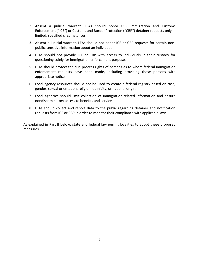- 2. Absent a judicial warrant, LEAs should honor U.S. Immigration and Customs Enforcement ("ICE") or Customs and Border Protection ("CBP") detainer requests only in limited, specified circumstances.
- 3. Absent a judicial warrant, LEAs should not honor ICE or CBP requests for certain nonpublic, sensitive information about an individual.
- 4. LEAs should not provide ICE or CBP with access to individuals in their custody for questioning solely for immigration enforcement purposes.
- 5. LEAs should protect the due process rights of persons as to whom federal immigration enforcement requests have been made, including providing those persons with appropriate notice.
- 6. Local agency resources should not be used to create a federal registry based on race, gender, sexual orientation, religion, ethnicity, or national origin.
- 7. Local agencies should limit collection of immigration-related information and ensure nondiscriminatory access to benefits and services.
- 8. LEAs should collect and report data to the public regarding detainer and notification requests from ICE or CBP in order to monitor their compliance with applicable laws.

As explained in Part II below, state and federal law permit localities to adopt these proposed measures.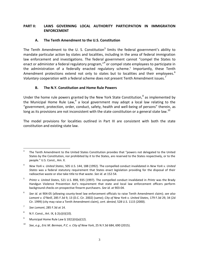# **PART II: LAWS GOVERNING LOCAL AUTHORITY PARTICIPATION IN IMMIGRATION ENFORCEMENT**

## **A. The Tenth Amendment to the U.S. Constitution**

The Tenth Amendment to the U. S. Constitution<sup>3</sup> limits the federal government's ability to mandate particular action by states and localities, including in the area of federal immigration law enforcement and investigations. The federal government cannot "compel the States to enact or administer a federal regulatory program,"<sup>4</sup> or compel state employees to participate in the administration of a federally enacted regulatory scheme. 5 Importantly, these Tenth Amendment protections extend not only to states but to localities and their employees.<sup>6</sup> *Voluntary* cooperation with a federal scheme does not present Tenth Amendment issues.<sup>7</sup>

# **B. The N.Y. Constitution and Home Rule Powers**

Under the home rule powers granted by the New York State Constitution,<sup>8</sup> as implemented by the Municipal Home Rule Law,  $9$  a local government may adopt a local law relating to the "government, protection, order, conduct, safety, health and well-being of persons" therein, as long as its provisions are not inconsistent with the state constitution or a general state law.<sup>10</sup>

The model provisions for localities outlined in Part III are consistent with both the state constitution and existing state law.

<sup>3</sup> The Tenth Amendment to the United States Constitution provides that "powers not delegated to the United States by the Constitution, nor prohibited by it to the States, are reserved to the States respectively, or to the people." U.S. Const., Am. X.

<sup>4</sup> *New York v. United States*, 505 U.S. 144, 188 (1992). The compelled conduct invalidated in *New York v. United States* was a federal statutory requirement that States enact legislation providing for the disposal of their radioactive waste or else take title to that waste. *See id*. at 152-54.

<sup>5</sup> *Printz v. United States*, 521 U.S. 898, 935 (1997). The compelled conduct invalidated in *Printz* was the Brady Handgun Violence Prevention Act's requirement that state and local law enforcement officers perform background checks on prospective firearm purchasers. *See id.* at 903-04.

<sup>6</sup> *See id.* at 904-05 (allowing county-level law enforcement officials to raise Tenth Amendment claim); *see also Lomont v. O'Neill*, 285 F.3d 9, 13 (D.C. Cir. 2002) (same); *City of New York v. United States*, 179 F.3d 29, 34 (2d Cir. 1999) (city may raise a Tenth Amendment claim), *cert. denied*, 528 U.S. 1115 (2000).

<sup>7</sup> *See Lomont*, 285 F.3d at 14.

<sup>8</sup> N.Y. Const., Art. IX, § 2(c)(ii)(10).

<sup>&</sup>lt;sup>9</sup> Municipal Home Rule Law § 10(1)(ii)(a)(12).

<sup>10</sup> *See*, *e.g.*, *Eric M. Berman, P.C. v. City of New York*, 25 N.Y.3d 684, 690 (2015).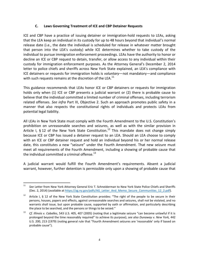# **C. Laws Governing Treatment of ICE and CBP Detainer Requests**

ICE and CBP have a practice of issuing detainer or immigration-hold requests to LEAs, asking that the LEA keep an individual in its custody for up to 48 hours beyond that individual's normal release date (i.e., the date the individual is scheduled for release in whatever matter brought that person into the LEA's custody) while ICE determines whether to take custody of the individual to pursue immigration enforcement proceedings. LEAs have the authority to honor or decline an ICE or CBP request to detain, transfer, or allow access to any individual within their custody for immigration enforcement purposes. As the Attorney General's December 2, 2014 letter to police chiefs and sheriffs across New York State explained, an LEA's compliance with ICE detainers or requests for immigration holds is *voluntary*—not mandatory—and compliance with such requests remains at the discretion of the LEA. $<sup>11</sup>$ </sup>

This guidance recommends that LEAs honor ICE or CBP detainers or requests for immigration holds only when (1) ICE or CBP presents a judicial warrant or (2) there is probable cause to believe that the individual committed a limited number of criminal offenses, including terrorism related offenses. *See infra* Part III, Objective 2. Such an approach promotes public safety in a manner that also respects the constitutional rights of individuals and protects LEAs from potential legal liability.

All LEAs in New York State must comply with the Fourth Amendment to the U.S. Constitution's prohibition on unreasonable searches and seizures, as well as with the similar provision in Article I, § 12 of the New York State Constitution.<sup>12</sup> This mandate does not change simply because ICE or CBP has issued a detainer request to an LEA. Should an LEA choose to comply with an ICE or CBP detainer request and hold an individual beyond his or her normal release date, this constitutes a new "seizure" under the Fourth Amendment. That new seizure must meet all requirements of the Fourth Amendment, including a showing of probable cause that the individual committed a criminal offense. $13$ 

A judicial warrant would fulfill the Fourth Amendment's requirements. Absent a judicial warrant, however, further detention is permissible only upon a showing of probable cause that

<sup>11</sup> *See* Letter from New York Attorney General Eric T. Schneiderman to New York State Police Chiefs and Sheriffs (Dec. 2, 2014) (available at [https://ag.ny.gov/pdfs/AG\\_Letter\\_And\\_Memo\\_Secure\\_Communities\\_12\\_2.pdf\)](https://ag.ny.gov/pdfs/AG_Letter_And_Memo_Secure_Communities_12_2.pdf).

<sup>&</sup>lt;sup>12</sup> Article I, § 12 of the New York State Constitution provides: "The right of the people to be secure in their persons, houses, papers and effects, against unreasonable searches and seizures, shall not be violated, and no warrants shall issue, but upon probable cause, supported by oath or affirmation, and particularly describing the place to be searched, and the persons or things to be seized."

<sup>13</sup> *Cf. Illinois v. Caballes*, 543 U.S. 405, 407 (2005) (noting that a legitimate seizure "can become unlawful if it is prolonged beyond the time reasonably required" to achieve its purpose); *see also Dunaway v. New York,* 442 U.S. 200, 213 (1979) (noting general rule that "Fourth Amendment seizures are 'reasonable' only if based on probable cause").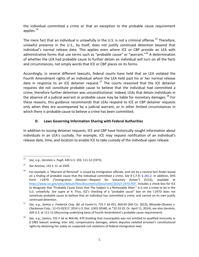the individual committed a crime or that an exception to the probable cause requirement applies.<sup>14</sup>

The mere fact that an individual is unlawfully in the U.S. is not a criminal offense.<sup>15</sup> Therefore, unlawful presence in the U.S., by itself, does not justify continued detention beyond that individual's normal release date. This applies even where ICE or CBP provide an LEA with administrative forms that use terms such as "probable cause" or "warrant."<sup>16</sup> A determination of whether the LEA had probable cause to further detain an individual will turn on all the facts and circumstances, not simply words that ICE or CBP places on its forms.

Accordingly, in several different lawsuits, federal courts have held that an LEA violated the Fourth Amendment rights of an individual whom the LEA held past his or her normal release date in response to an ICE detainer request.<sup>17</sup> The courts reasoned that the ICE detainer requests did not constitute probable cause to believe that the individual had committed a crime; therefore further detention was unconstitutional. Indeed, LEAs that detain individuals in the absence of a judicial warrant or probable cause may be liable for monetary damages.<sup>18</sup> For these reasons, this guidance recommends that LEAs respond to ICE or CBP detainer requests only when they are accompanied by a judicial warrant, or in other limited circumstances in which there is probable cause to believe a crime has been committed.

# **D. Laws Governing Information Sharing with Federal Authorities**

In addition to issuing detainer requests, ICE and CBP have historically sought information about individuals in an LEA's custody. For example, ICE may request notification of an individual's release date, time, and location to enable ICE to take custody of the individual upon release.

<sup>14</sup> <sup>14</sup> *See, e.g.*, *Gerstein v. Pugh*, 420 U.S. 103, 111-12 (1975).

<sup>15</sup> *See Arizona*, 132 S. Ct. at 2505.

 $16$  For example, a "Warrant of Removal" is issued by immigration officials, and not by a neutral fact-finder based on a finding of probable cause that the individual committed a crime. *See* 8 C.F.R. § 241.2. In addition, DHS Form I-247D ("Immigration Detainer—Request for Voluntary Action") (5/15), available at [https://www.ice.gov/sites/default/files/documents/Document/2016/I-247D.PDF,](https://www.ice.gov/sites/default/files/documents/Document/2016/I-247D.PDF) includes a check-box for ICE to designate that "Probable Cause Exists that The Subject is a Removable Alien." It is not a crime to be in the U.S. unlawfully. *See supra* at 4. Thus, ICE's checking of a "probable cause" box on the I-247D does not constitute probable cause to believe that an individual has committed a crime, and cannot on its own justify continued detention.

<sup>17</sup> *See, e.g.*, *Santos v. Frederick Cnty. Bd. of Comm'rs*, 725 F.3d 451, 464-65 (4th Cir. 2013)*; Miranda-Olivares v. Clackamas Cnty.,* 12-CV-02317, 2014 U.S. Dist. LEXIS 50340, at \*32-33 (D. Or. April 11, 2014); *see also Gerstein*, 420 U.S. at 111-12 (discussing underlying basis of Fourth Amendment's probable cause requirement).

<sup>18</sup> *See, e.g.*, *Santos*, 725 F.3d at 464-66, 470 (holding that municipality was not entitled to qualified immunity in § 1983 lawsuit seeking, *inter alia*, compensatory damages, where deputies violated arrestee's constitutional rights by detaining her solely on suspected civil violations of federal immigration law).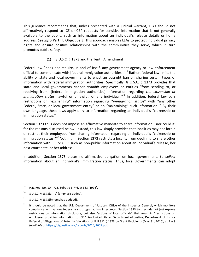This guidance recommends that, unless presented with a judicial warrant, LEAs should not affirmatively respond to ICE or CBP requests for sensitive information that is not generally available to the public, such as information about an individual's release details or home address. *See infra* Part III, Objective 3. This approach enables LEAs to protect individual privacy rights and ensure positive relationships with the communities they serve, which in turn promotes public safety.

# (1) 8 U.S.C. § 1373 and the Tenth Amendment

Federal law "does not require, in and of itself, any government agency or law enforcement official to communicate with [federal immigration authorities]."<sup>19</sup> Rather, federal law limits the ability of state and local governments to enact an outright ban on sharing certain types of information with federal immigration authorities. Specifically, 8 U.S.C. § 1373 provides that state and local governments *cannot prohibit* employees or entities "from sending to, or receiving from, [federal immigration authorities] information regarding *the citizenship or immigration status*, lawful or unlawful, of any individual." <sup>20</sup> In addition, federal law bars restrictions on "exchanging" information regarding "*immigration status*" with "any other Federal, State, or local government entity" or on "maintaining" such information.<sup>21</sup> By their own language, these laws apply only to information regarding an individual's "citizenship or immigration status."

Section 1373 thus does not impose an affirmative mandate to share information—nor could it, for the reasons discussed below. Instead, this law simply provides that localities may not forbid or restrict their employees from sharing information regarding an individual's "citizenship or immigration status."<sup>22</sup> Nothing in Section 1373 restricts a locality from declining to share other information with ICE or CBP, such as non-public information about an individual's release, her next court date, or her address.

In addition, Section 1373 places no affirmative obligation on local governments to *collect* information about an individual's immigration status. Thus, local governments can adopt

 $\overline{a}$ <sup>19</sup> H.R. Rep. No. 104-725, Subtitle B, § 6, at 383 (1996).

<sup>&</sup>lt;sup>20</sup> 8 U.S.C. § 1373(a)-(b) (emphasis added).

 $21$  8 U.S.C. § 1373(b) (emphasis added).

 $22$  It should be noted that the U.S. Department of Justice's Office of the Inspector General, which monitors compliance with various federal grant programs, has interpreted Section 1373 to preclude not just express restrictions on information disclosure, but also "actions of local officials" that result in "restrictions on employees providing information to ICE." *See* United States Department of Justice, Department of Justice Referral of Allegations of Potential Violations of 8 U.S.C. § 1373 by Grant Recipients (May 31, 2016), at 7 n.9 (*available at* [https://oig.justice.gov/reports/2016/1607.pdf\)](https://oig.justice.gov/reports/2016/1607.pdf).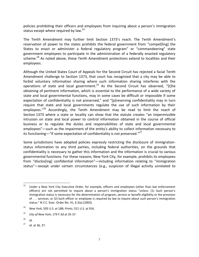policies prohibiting their officers and employees from inquiring about a person's immigration status except where required by law. $^{23}$ 

The Tenth Amendment may further limit Section 1373's reach. The Tenth Amendment's reservation of power to the states prohibits the federal government from "compel[ling] the States to enact or administer a federal regulatory program" or "commandeering" state government employees to participate in the administration of a federally enacted regulatory scheme.<sup>24</sup> As noted above, these Tenth Amendment protections extend to localities and their employees.

Although the United States Court of Appeals for the Second Circuit has rejected a facial Tenth Amendment challenge to Section 1373, that court has recognized that a city may be able to forbid voluntary information sharing where such information sharing interferes with the operations of state and local government.<sup>25</sup> As the Second Circuit has observed, "[t]he obtaining of pertinent information, which is essential to the performance of a wide variety of state and local governmental functions, may in some cases be difficult or impossible if some expectation of confidentiality is not preserved," and "[p]reserving confidentiality may in turn require that state and local governments regulate the use of such information by their employees."<sup>26</sup> Accordingly, the Tenth Amendment may be read to limit the reach of Section 1373 where a state or locality can show that the statute creates "an impermissible intrusion on state and local power to control information obtained in the course of official business or to regulate the duties and responsibilities of state and local governmental employees"—such as the impairment of the entity's ability to collect information necessary to its functioning—"if some expectation of confidentiality is not preserved."<sup>27</sup>

Some jurisdictions have adopted policies expressly restricting the disclosure of immigrationstatus information to any third parties, including federal authorities, on the grounds that confidentiality is necessary to gather this information and the information is crucial to various governmental functions. For these reasons, New York City, for example, prohibits its employees from "disclos[ing] confidential information"—including information relating to "immigration status"—except under certain circumstances (e.g., suspicion of illegal activity unrelated to

<sup>&</sup>lt;sup>23</sup> Under a New York City Executive Order, for example, officers and employees (other than law enforcement officers) are not permitted to inquire about a person's immigration status "unless: (1) Such person's immigration status is necessary for the determination of program, service or benefit eligibility or the provision of . . . services; or (2) Such officer or employee is required by law to inquire about such person's immigration status." N.Y.C. Exec. Order No. 41, § 3(a) (2003).

<sup>24</sup> *New York*, 505 U.S. at 188; *Printz*, 521 U.S. at 916.

<sup>25</sup> *City of New* York, 179 F.3d at 35-37.

 $^{26}$  *Id.* 

<sup>27</sup> *Id.* at 36, 37.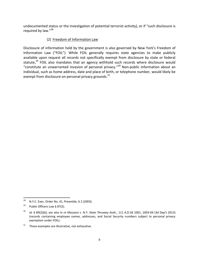undocumented status or the investigation of potential terrorist activity), or if "such disclosure is required by law."<sup>28</sup>

# (2) Freedom of Information Law

Disclosure of information held by the government is also governed by New York's Freedom of Information Law ("FOIL"). While FOIL generally requires state agencies to make publicly available upon request all records not specifically exempt from disclosure by state or federal statute,<sup>29</sup> FOIL also mandates that an agency withhold such records where disclosure would "constitute an unwarranted invasion of personal privacy." <sup>30</sup> Non-public information about an individual, such as home address, date and place of birth, or telephone number, would likely be exempt from disclosure on personal privacy grounds.<sup>31</sup>

<sup>28</sup> <sup>28</sup> N.Y.C. Exec. Order No. 41, Preamble, § 2 (2003).

<sup>&</sup>lt;sup>29</sup> Public Officers Law § 87(2).

<sup>30</sup> *Id.* § 89(2)(b); *see also In re Massaro v. N.Y. State Thruway Auth.*, 111 A.D.3d 1001, 1003-04 (3d Dep't 2013) (records containing employee names, addresses, and Social Security numbers subject to personal privacy exemption under FOIL).

 $31$  These examples are illustrative, not exhaustive.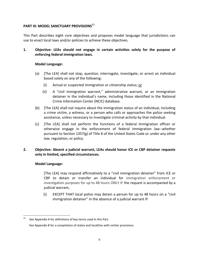# **PART III: MODEL SANCTUARY PROVISIONS**<sup>32</sup>

This Part describes eight core objectives and proposes model language that jurisdictions can use to enact local laws and/or policies to achieve these objectives.

**1. Objective: LEAs should not engage in certain activities solely for the purpose of enforcing federal immigration laws.**

#### **Model Language:**

- (a) [The LEA] shall not stop, question, interrogate, investigate, or arrest an individual based solely on any of the following:
	- (i) Actual or suspected immigration or citizenship status; or
	- (ii) A "civil immigration warrant," administrative warrant, or an immigration detainer in the individual's name, including those identified in the National Crime Information Center (NCIC) database.
- (b) [The LEA] shall not inquire about the immigration status of an individual, including a crime victim, a witness, or a person who calls or approaches the police seeking assistance, unless necessary to investigate criminal activity by that individual.
- (c) [The LEA] shall not perform the functions of a federal immigration officer or otherwise engage in the enforcement of federal immigration law--whether pursuant to Section 1357(g) of Title 8 of the United States Code or under any other law, regulation, or policy.

# **2. Objective: Absent a judicial warrant, LEAs should honor ICE or CBP detainer requests only in limited, specified circumstances.**

#### **Model Language:**

[The LEA] may respond affirmatively to a "civil immigration detainer" from ICE or CBP to detain or transfer an individual for immigration enforcement or investigation purposes for up to 48 hours ONLY IF the request is accompanied by a judicial warrant,

(i) EXCEPT THAT local police may detain a person for up to 48 hours on a "civil immigration detainer" in the absence of a judicial warrant IF

 $32$ See Appendix A for definitions of key terms used in this Part.

See Appendix B for a compilation of states and localities with similar provisions.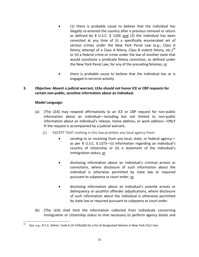- (1) there is probable cause to believe that the individual has illegally re-entered the country after a previous removal or return as defined by 8 U.S.C. § 1326 and (2) the individual has been convicted at any time of (i) a specifically enumerated set of serious crimes under the New York Penal Law (e.g., Class A felony, attempt of a Class A felony, Class B violent felony, etc.) $33$ or (ii) a federal crime or crime under the law of another state that would constitute a predicate felony conviction, as defined under the New York Penal Law, for any of the preceding felonies; or
- there is probable cause to believe that the individual has or is engaged in terrorist activity.

## **3. Objective: Absent a judicial warrant, LEAs should not honor ICE or CBP requests for certain non-public, sensitive information about an individual.**

# **Model Language:**

- (a) [The LEA] may respond affirmatively to an ICE or CBP request for non-public information about an individual—including but not limited to non-public information about an individual's release, home address, or work address—ONLY IF the request is accompanied by a judicial warrant,
	- (i) EXCEPT THAT nothing in this law prohibits any local agency from:
		- sending to or receiving from any local, state, or federal agency as per 8 U.S.C. § 1373—(i) information regarding an individual's country of citizenship or (ii) a statement of the individual's immigration status; or
		- disclosing information about an individual's criminal arrests or convictions, where disclosure of such information about the individual is otherwise permitted by state law or required pursuant to subpoena or court order; or
		- disclosing information about an individual's juvenile arrests or delinquency or youthful offender adjudications, where disclosure of such information about the individual is otherwise permitted by state law or required pursuant to subpoena or court order.
- (b) [The LEA] shall limit the information collected from individuals concerning immigration or citizenship status to that necessary to perform agency duties and

<sup>33</sup> <sup>33</sup> *See, e.g.*, N.Y.C. Admin. Code § 14-154(a)(6) for a list of designated felonies in New York City's law.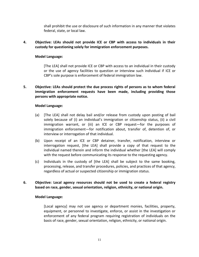shall prohibit the use or disclosure of such information in any manner that violates federal, state, or local law.

# **4. Objective: LEAs should not provide ICE or CBP with access to individuals in their custody for questioning solely for immigration enforcement purposes.**

#### **Model Language:**

[The LEA] shall not provide ICE or CBP with access to an individual in their custody or the use of agency facilities to question or interview such individual if ICE or CBP's sole purpose is enforcement of federal immigration law.

# **5. Objective: LEAs should protect the due process rights of persons as to whom federal immigration enforcement requests have been made, including providing those persons with appropriate notice.**

#### **Model Language:**

- (a) [The LEA] shall not delay bail and/or release from custody upon posting of bail solely because of (i) an individual's immigration or citizenship status, (ii) a civil immigration warrant, or (iii) an ICE or CBP request—for the purposes of immigration enforcement—for notification about, transfer of, detention of, or interview or interrogation of that individual.
- (b) Upon receipt of an ICE or CBP detainer, transfer, notification, interview or interrogation request, [the LEA] shall provide a copy of that request to the individual named therein and inform the individual whether [the LEA] will comply with the request before communicating its response to the requesting agency.
- (c) Individuals in the custody of [the LEA] shall be subject to the same booking, processing, release, and transfer procedures, policies, and practices of that agency, regardless of actual or suspected citizenship or immigration status.

# **6. Objective: Local agency resources should not be used to create a federal registry based on race, gender, sexual orientation, religion, ethnicity, or national origin.**

#### **Model Language:**

[Local agency] may not use agency or department monies, facilities, property, equipment, or personnel to investigate, enforce, or assist in the investigation or enforcement of any federal program requiring registration of individuals on the basis of race, gender, sexual orientation, religion, ethnicity, or national origin.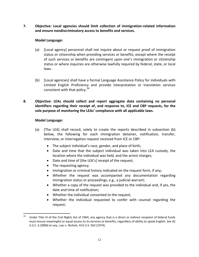**7. Objective: Local agencies should limit collection of immigration-related information and ensure nondiscriminatory access to benefits and services.**

# **Model Language:**

- (a) [Local agency] personnel shall not inquire about or request proof of immigration status or citizenship when providing services or benefits, except where the receipt of such services or benefits are contingent upon one's immigration or citizenship status or where inquiries are otherwise lawfully required by federal, state, or local laws.
- (b) [Local agencies] shall have a formal Language Assistance Policy for individuals with Limited English Proficiency and provide interpretation or translation services consistent with that policy.  $34$
- **8. Objective: LEAs should collect and report aggregate data containing no personal identifiers regarding their receipt of, and response to, ICE and CBP requests, for the sole purpose of monitoring the LEAs' compliance with all applicable laws.**

#### **Model Language:**

- (a) [The LEA] shall record, solely to create the reports described in subsection (b) below, the following for each immigration detainer, notification, transfer, interview, or interrogation request received from ICE or CBP:
	- The subject individual's race, gender, and place of birth;
	- Date and time that the subject individual was taken into LEA custody, the location where the individual was held, and the arrest charges;
	- Date and time of [the LEA's] receipt of the request;
	- The requesting agency;
	- Immigration or criminal history indicated on the request form, if any;
	- Whether the request was accompanied any documentation regarding immigration status or proceedings, e.g., a judicial warrant;
	- Whether a copy of the request was provided to the individual and, if yes, the date and time of notification;
	- Whether the individual consented to the request;
	- Whether the individual requested to confer with counsel regarding the request;

Under Title VI of the Civil Rights Act of 1964, any agency that is a direct or indirect recipient of federal funds must ensure meaningful or equal access to its services or benefits, regardless of ability to speak English. *See* 42 U.S.C. § 2000d *et seq.*; *Lau v. Nichols*, 414 U.S. 563 (1974).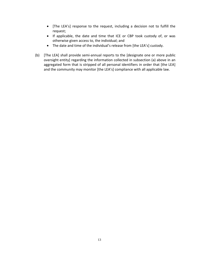- [The LEA's] response to the request, including a decision not to fulfill the request;
- If applicable, the date and time that ICE or CBP took custody of, or was otherwise given access to, the individual; and
- The date and time of the individual's release from [the LEA's] custody.
- (b) [The LEA] shall provide semi-annual reports to the [designate one or more public oversight entity] regarding the information collected in subsection (a) above in an aggregated form that is stripped of all personal identifiers in order that [the LEA] and the community may monitor [the LEA's] compliance with all applicable law.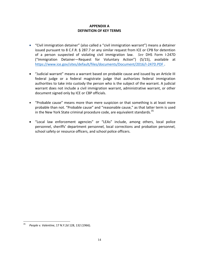# **APPENDIX A DEFINITION OF KEY TERMS**

- "Civil immigration detainer" (also called a "civil immigration warrant") means a detainer issued pursuant to 8 C.F.R. § 287.7 or any similar request from ICE or CPB for detention of a person suspected of violating civil immigration law. *See* DHS Form I-247D ("Immigration Detainer—Request for Voluntary Action") (5/15), available at <https://www.ice.gov/sites/default/files/documents/Document/2016/I-247D.PDF> **.**
- "Judicial warrant" means a warrant based on probable cause and issued by an Article III federal judge or a federal magistrate judge that authorizes federal immigration authorities to take into custody the person who is the subject of the warrant. A judicial warrant does not include a civil immigration warrant, administrative warrant, or other document signed only by ICE or CBP officials.
- "Probable cause" means more than mere suspicion or that something is at least more probable than not. "Probable cause" and "reasonable cause," as that latter term is used in the New York State criminal procedure code, are equivalent standards.<sup>35</sup>
- "Local law enforcement agencies" or "LEAs" include, among others, local police personnel, sheriffs' department personnel, local corrections and probation personnel, school safety or resource officers, and school police officers.

 $35<sup>1</sup>$ <sup>35</sup> *People v. Valentine*, 17 N.Y.2d 128, 132 (1966).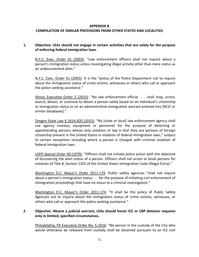#### **APPENDIX B**

#### **COMPILATION OF SIMILAR PROVISIONS FROM OTHER STATES AND LOCALITIES**

# **1. Objective: LEAs should not engage in certain activities that are solely for the purpose of enforcing federal immigration laws.**

N.Y.C. Exec. Order 41 (2003): "Law enforcement officers shall not inquire about a person's immigration status unless investigating illegal activity other than mere status as an undocumented alien."

N.Y.C. Exec. Order 41 (2003): It is the "policy of the Police Department not to inquire about the immigration status of crime victims, witnesses or others who call or approach the police seeking assistance."

Illinois Executive Order 2 (2015): "No law enforcement official . . . shall stop, arrest, search, detain, or continue to detain a person solely based on an individual's citizenship or immigration status or on an administrative immigration warrant entered into [NCIC or similar databases]."

Oregon State Law § 181A.820 (2015): "No [state or local] law enforcement agency shall use agency moneys, equipment or personnel for the purpose of detecting or apprehending persons whose only violation of law is that they are persons of foreign citizenship present in the United States in violation of federal immigration laws," subject to certain exceptions including where a person is charged with criminal violation of federal immigration laws.

LAPD Special Order 40 (1979): "Officers shall not initiate police action with the objective of discovering the alien status of a person. Officers shall not arrest or book persons for violation of Title 8, Section 1325 of the United States Immigration Code (Illegal Entry)."

Washington D.C. Mayor's Order 2011-174: Public safety agencies "shall not inquire about a person's immigration status . . . for the purpose of initiating civil enforcement of immigration proceedings that have no nexus to a criminal investigation."

Washington D.C. Mayor's Order 2011-174: "It shall be the policy of Public Safety Agencies not to inquire about the immigration status of crime victims, witnesses, or others who call or approach the police seeking assistance."

# **2. Objective: Absent a judicial warrant, LEAs should honor ICE or CBP detainer requests only in limited, specified circumstances.**

Philadelphia, PA Executive Order No. 5-2016: "No person in the custody of the City who would otherwise be released from custody shall be detained pursuant to an ICE civil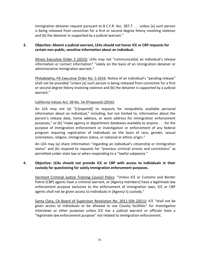immigration detainer request pursuant to 8 C.F.R. Sec. 287.7 . . . unless [a] such person is being released from conviction for a first or second degree felony involving violence and [b] the detainer in supported by a judicial warrant."

# **3. Objective: Absent a judicial warrant, LEAs should not honor ICE or CBP requests for certain non-public, sensitive information about an individual.**

Illinois Executive Order 2 (2015): LEAs may not "communicat[e] an individual's release information or contact information" "solely on the basis of an immigration detainer or administrative immigration warrant."

Philadelphia, PA Executive Order No. 5-2016: Notice of an individual's "pending release" shall not be provided "unless [a] such person is being released from conviction for a first or second degree felony involving violence and [b] the detainer is supported by a judicial warrant."

# California Values Act, SB No. 54 *(Proposed)* (2016):

An LEA may not (a) "[r]espond[] to requests for nonpublicly available personal information about an individual," including, but not limited to, information about the person's release date, home address, or work address for immigration enforcement purposes," or (b) "make agency or department databases available to anyone . . . for the purpose of immigration enforcement or investigation or enforcement of any federal program requiring registration of individuals on the basis of race, gender, sexual orientation, religion, immigration status, or national or ethnic origin."

An LEA may (a) share information "regarding an individual's citizenship or immigration status" and (b) respond to requests for "previous criminal arrests and convictions" as permitted under state law or when responding to a "lawful subpoena."

# **4. Objective: LEAs should not provide ICE or CBP with access to individuals in their custody for questioning for solely immigration enforcement purposes.**

Vermont Criminal Justice Training Council Policy: "Unless ICE or Customs and Border Patrol (CBP) agents have a criminal warrant, or [Agency members] have a legitimate law enforcement purpose exclusive to the enforcement of immigration laws, ICE or CBP agents shall not be given access to individuals in [Agency's] custody."

Santa Clara, CA Board of Supervisor Resolution No. 2011-504 (2011): ICE "shall not be given access to individuals or be allowed to use County facilities" for investigative interviews or other purposes unless ICE has a judicial warrant or officials have a "legitimate law enforcement purpose" not related to immigration enforcement.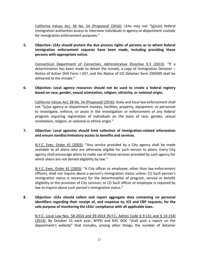California Values Act, SB No. 54 *(Proposed)* (2016): LEAs may not "[g]iv[e] federal immigration authorities access to interview individuals in agency or department custody for immigration enforcement purposes."

# **5. Objective: LEAs should protect the due process rights of persons as to whom federal immigration enforcement requests have been made, including providing those persons with appropriate notice.**

Connecticut Department of Correction, Administrative Directive 9.3 (2013): "If a determination has been made to detain the inmate, a copy of Immigration Detainer – Notice of Action DHS Form I-247, and the Notice of ICE Detainer form CN9309 shall be delivered to the inmate."

# **6. Objective: Local agency resources should not be used to create a federal registry based on race, gender, sexual orientation, religion, ethnicity, or national origin.**

California Values Act, SB No. 54 *(Proposed)* (2016): State and local law enforcement shall not "[u]se agency or department moneys, facilities, property, equipment, or personnel to investigate, enforce, or assist in the investigation or enforcement of any federal program requiring registration of individuals on the basis of race, gender, sexual orientation, religion, or national or ethnic origin."

#### **7. Objective: Local agencies should limit collection of immigration-related information and ensure nondiscriminatory access to benefits and services.**

N.Y.C. Exec. Order 41 (2003): "Any service provided by a City agency shall be made available to all aliens who are otherwise eligible for such service to aliens. Every City agency shall encourage aliens to make use of those services provided by such agency for which aliens are not denied eligibility by law."

N.Y.C. Exec. Order 41 (2003): "A City officer or employee, other than law enforcement officers, shall not inquire about a person's immigration status unless: (1) Such person's immigration status is necessary for the determination of program, service or benefit eligibility or the provision of City services; or (2) Such officer or employee is required by law to inquire about such person's immigration status."

# **8. Objective: LEAs should collect and report aggregate data containing no personal identifiers regarding their receipt of, and response to, ICE and CBP requests, for the sole purpose of monitoring the LEAs' compliance with all applicable laws.**

N.Y.C. Local Law Nos. 58-2014 and 59-2014 (N.Y.C. Admin Code § 9-131 and § 14-154) (2014): By October 15 each year, NYPD and NYC DOC "shall post a report on the department's website" that includes, among other things, the number of detainer